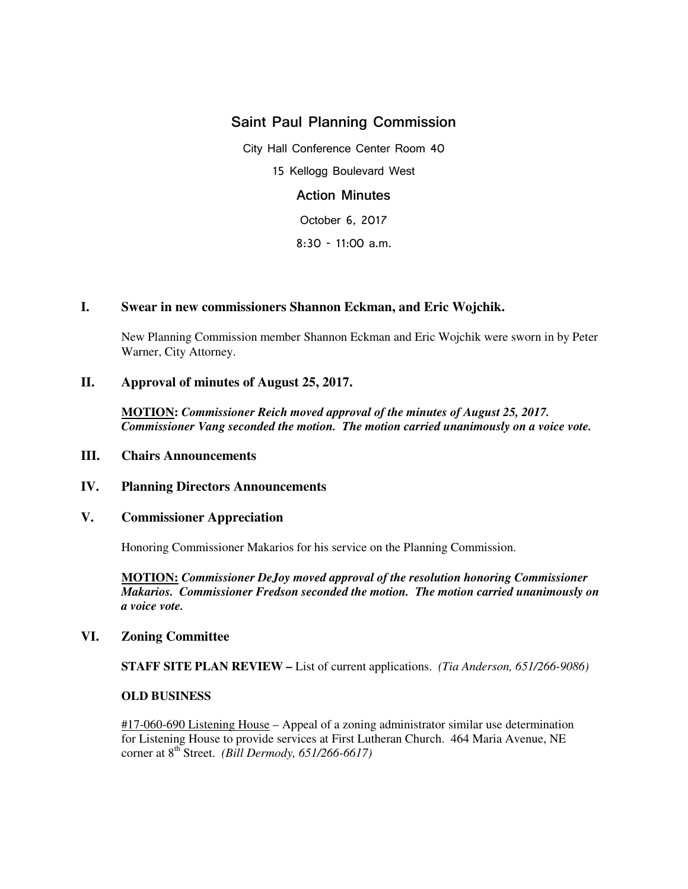# Saint Paul Planning Commission

City Hall Conference Center Room 40 15 Kellogg Boulevard West Action Minutes

October 6, 2017

8:30 - 11:00 a.m.

## **I. Swear in new commissioners Shannon Eckman, and Eric Wojchik.**

 New Planning Commission member Shannon Eckman and Eric Wojchik were sworn in by Peter Warner, City Attorney.

## **II. Approval of minutes of August 25, 2017.**

**MOTION:** *Commissioner Reich moved approval of the minutes of August 25, 2017. Commissioner Vang seconded the motion. The motion carried unanimously on a voice vote.*

### **III. Chairs Announcements**

### **IV. Planning Directors Announcements**

### **V. Commissioner Appreciation**

Honoring Commissioner Makarios for his service on the Planning Commission.

**MOTION:** *Commissioner DeJoy moved approval of the resolution honoring Commissioner Makarios. Commissioner Fredson seconded the motion. The motion carried unanimously on a voice vote.* 

### **VI. Zoning Committee**

 **STAFF SITE PLAN REVIEW –** List of current applications. *(Tia Anderson, 651/266-9086)* 

#### **OLD BUSINESS**

#17-060-690 Listening House – Appeal of a zoning administrator similar use determination for Listening House to provide services at First Lutheran Church. 464 Maria Avenue, NE corner at 8th Street. *(Bill Dermody, 651/266-6617)*